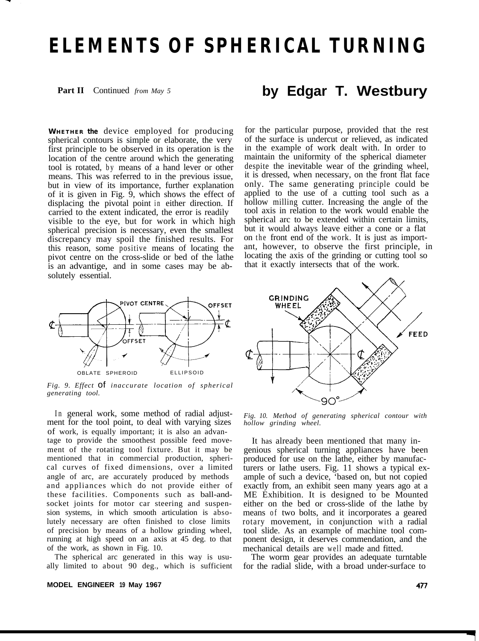# **ELEMENTS OF SPHERICAL TURNING**

**Part II** Continued *from May 5*

**by Edgar T. Westbury**

**W HETHER the** device employed for producing spherical contours is simple or elaborate, the very first principle to be observed in its operation is the location of the centre around which the generating tool is rotated, by means of a hand lever or other means. This was referred to in the previous issue, but in view of its importance, further explanation of it is given in Fig. 9, which shows the effect of displacing the pivotal point in either direction. If carried to the extent indicated, the error is readily visible to the eye, but for work in which high spherical precision is necessary, even the smallest discrepancy may spoil the finished results. For this reason, some positive means of locating the pivot centre on the cross-slide or bed of the lathe is an advantige, and in some cases may be absolutely essential.



*Fig. 9. Effect* of *inaccurate location of spherical generating tool.*

In general work, some method of radial adjustment for the tool point, to deal with varying sizes of work, is equally important; it is also an advantage to provide the smoothest possible feed movement of the rotating tool fixture. But it may be mentioned that in commercial production, spherical curves of fixed dimensions, over a limited angle of arc, are accurately produced by methods and appliances which do not provide either of these facilities. Components such as ball-andsocket joints for motor car steering and suspension systems, in which smooth articulation is absolutely necessary are often finished to close limits of precision by means of a hollow grinding wheel, running at high speed on an axis at 45 deg. to that of the work, as shown in Fig. 10.

The spherical arc generated in this way is usually limited to about 90 deg., which is sufficient

for the particular purpose, provided that the rest of the surface is undercut or relieved, as indicated in the example of work dealt with. In order to maintain the uniformity of the spherical diameter despite the inevitable wear of the grinding wheel, it is dressed, when necessary, on the front flat face only. The same generating principle could be applied to the use of a cutting tool such as a hollow milling cutter. Increasing the angle of the tool axis in relation to the work would enable the spherical arc to be extended within certain limits, but it would always leave either a cone or a flat on the front end of the work. It is just as important, however, to observe the first principle, in locating the axis of the grinding or cutting tool so that it exactly intersects that of the work.



*Fig. 10. Method of generating spherical contour with hollow grinding wheel.*

It has already been mentioned that many ingenious spherical turning appliances have been produced for use on the lathe, either by manufacturers or lathe users. Fig. 11 shows a typical example of such a device, 'based on, but not copied exactly from, an exhibit seen many years ago at a ME Exhibition. It is designed to be Mounted either on the bed or cross-slide of the lathe by means of two bolts, and it incorporates a geared rotary movement, in conjunction with a radial tool slide. As an example of machine tool component design, it deserves commendation, and the mechanical details are well made and fitted.

The worm gear provides an adequate turntable for the radial slide, with a broad under-surface to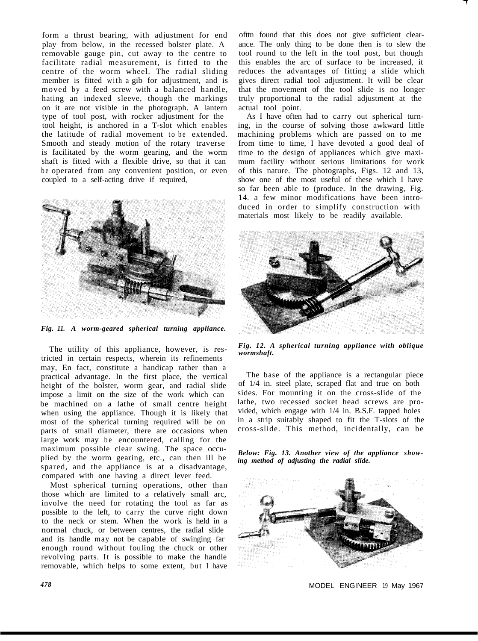form a thrust bearing, with adjustment for end play from below, in the recessed bolster plate. A removable gauge pin, cut away to the centre to facilitate radial measurement, is fitted to the centre of the worm wheel. The radial sliding member is fitted with a gib for adjustment, and is moved by a feed screw with a balanced handle, hating an indexed sleeve, though the markings on it are not visible in the photograph. A lantern type of tool post, with rocker adjustment for the tool height, is anchored in a T-slot which enables the latitude of radial movement to be extended. Smooth and steady motion of the rotary traverse is facilitated by the worm gearing, and the worm shaft is fitted with a flexible drive, so that it can be operated from any convenient position, or even coupled to a self-acting drive if required,



*Fig. 11. A worm-geared spherical turning appliance.*

The utility of this appliance, however, is restricted in certain respects, wherein its refinements may, En fact, constitute a handicap rather than a practical advantage. In the first place, the vertical height of the bolster, worm gear, and radial slide impose a limit on the size of the work which can be machined on a lathe of small centre height when using the appliance. Though it is likely that most of the spherical turning required will be on parts of small diameter, there are occasions when large work may be encountered, calling for the maximum possible clear swing. The space occuplied by the worm gearing, etc., can then ill be spared, and the appliance is at a disadvantage, compared with one having a direct lever feed.

Most spherical turning operations, other than those which are limited to a relatively small arc, involve the need for rotating the tool as far as possible to the left, to carry the curve right down to the neck or stem. When the work is held in a normal chuck, or between centres, the radial slide and its handle may not be capable of swinging far enough round without fouling the chuck or other revolving parts. It is possible to make the handle removable, which helps to some extent, but I have

ofttn found that this does not give sufficient clearance. The only thing to be done then is to slew the tool round to the left in the tool post, but though this enables the arc of surface to be increased, it reduces the advantages of fitting a slide which gives direct radial tool adjustment. It will be clear that the movement of the tool slide is no longer truly proportional to the radial adjustment at the actual tool point.

As I have often had to carry out spherical turning, in the course of solving those awkward little machining problems which are passed on to me from time to time, I have devoted a good deal of time to the design of appliances which give maximum facility without serious limitations for work of this nature. The photographs, Figs. 12 and 13, show one of the most useful of these which I have so far been able to (produce. In the drawing, Fig. 14. a few minor modifications have been introduced in order to simplify construction with materials most likely to be readily available.



*Fig. 12. A spherical turning appliance with oblique wormshaft.*

The base of the appliance is a rectangular piece of 1/4 in. steel plate, scraped flat and true on both sides. For mounting it on the cross-slide of the lathe, two recessed socket head screws are provided, which engage with 1/4 in. B.S.F. tapped holes in a strip suitably shaped to fit the T-slots of the cross-slide. This method, incidentally, can be

*Below: Fig. 13. Another view of the appliance showing method of adjusting the radial slide.*

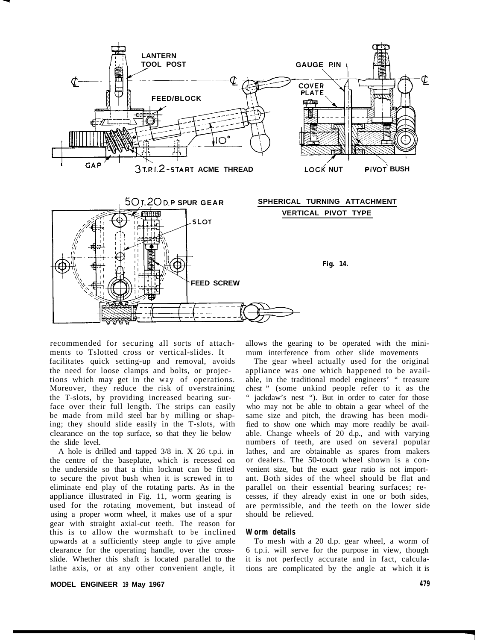

recommended for securing all sorts of attachments to Tslotted cross or vertical-slides. It facilitates quick setting-up and removal, avoids the need for loose clamps and bolts, or projections which may get in the way of operations. Moreover, they reduce the risk of overstraining the T-slots, by providing increased bearing surface over their full length. The strips can easily be made from mild steel bar by milling or shaping; they should slide easily in the T-slots, with clearance on the top surface, so that they lie below the slide level.

A hole is drilled and tapped 3/8 in. X 26 t.p.i. in the centre of the baseplate, which is recessed on the underside so that a thin locknut can be fitted to secure the pivot bush when it is screwed in to eliminate end play of the rotating parts. As in the appliance illustrated in Fig. 11, worm gearing is used for the rotating movement, but instead of using a proper worm wheel, it makes use of a spur gear with straight axial-cut teeth. The reason for this is to allow the wormshaft to be inclined upwards at a sufficiently steep angle to give ample clearance for the operating handle, over the crossslide. Whether this shaft is located parallel to the lathe axis, or at any other convenient angle, it

allows the gearing to be operated with the minimum interference from other slide movements

The gear wheel actually used for the original appliance was one which happened to be available, in the traditional model engineers' " treasure chest " (some unkind people refer to it as the " jackdaw's nest "). But in order to cater for those who may not be able to obtain a gear wheel of the same size and pitch, the drawing has been modified to show one which may more readily be available. Change wheels of 20 d.p., and with varying numbers of teeth, are used on several popular lathes, and are obtainable as spares from makers or dealers. The 50-tooth wheel shown is a convenient size, but the exact gear ratio is not important. Both sides of the wheel should be flat and parallel on their essential bearing surfaces; recesses, if they already exist in one or both sides, are permissible, and the teeth on the lower side should be relieved.

### **Worm details**

To mesh with a 20 d.p. gear wheel, a worm of 6 t.p.i. will serve for the purpose in view, though it is not perfectly accurate and in fact, calculations are complicated by the angle at which it is